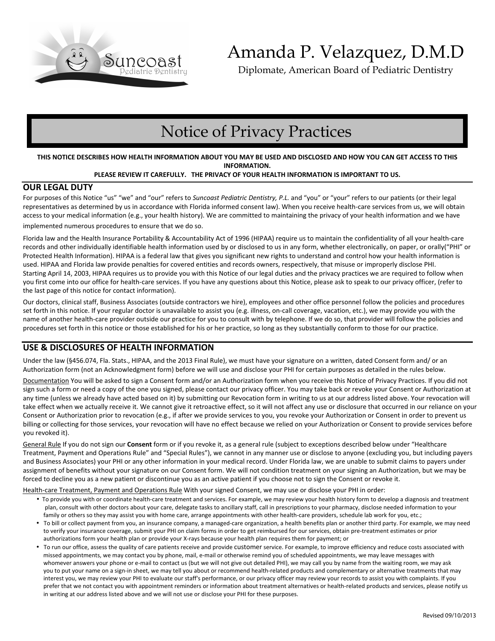

# Amanda P. Velazquez, D.M.D

Diplomate, American Board of Pediatric Dentistry

# Notice of Privacy Practices

#### **THIS NOTICE DESCRIBES HOW HEALTH INFORMATION ABOUT YOU MAY BE USED AND DISCLOSED AND HOW YOU CAN GET ACCESS TO THIS INFORMATION.**

#### **PLEASE REVIEW IT CAREFULLY. THE PRIVACY OF YOUR HEALTH INFORMATION IS IMPORTANT TO US.**

### **OUR LEGAL DUTY**

For purposes of this Notice "us" "we" and "our" refers to *Suncoast Pediatric Dentistry, P.L.* and "you" or "your" refers to our patients (or their legal representatives as determined by us in accordance with Florida informed consent law). When you receive health-care services from us, we will obtain access to your medical information (e.g., your health history). We are committed to maintaining the privacy of your health information and we have implemented numerous procedures to ensure that we do so.

Florida law and the Health Insurance Portability & Accountability Act of 1996 (HIPAA) require us to maintain the confidentiality of all your health-care records and other individually identifiable health information used by or disclosed to us in any form, whether electronically, on paper, or orally("PHI" or Protected Health Information). HIPAA is a federal law that gives you significant new rights to understand and control how your health information is used. HIPAA and Florida law provide penalties for covered entities and records owners, respectively, that misuse or improperly disclose PHI. Starting April 14, 2003, HIPAA requires us to provide you with this Notice of our legal duties and the privacy practices we are required to follow when you first come into our office for health-care services. If you have any questions about this Notice, please ask to speak to our privacy officer, (refer to the last page of this notice for contact information).

Our doctors, clinical staff, Business Associates (outside contractors we hire), employees and other office personnel follow the policies and procedures set forth in this notice. If your regular doctor is unavailable to assist you (e.g. illness, on-call coverage, vacation, etc.), we may provide you with the name of another health-care provider outside our practice for you to consult with by telephone. If we do so, that provider will follow the policies and procedures set forth in this notice or those established for his or her practice, so long as they substantially conform to those for our practice.

## **USE & DISCLOSURES OF HEALTH INFORMATION**

Under the law (§456.074, Fla. Stats., HIPAA, and the 2013 Final Rule), we must have your signature on a written, dated Consent form and/ or an Authorization form (not an Acknowledgment form) before we will use and disclose your PHI for certain purposes as detailed in the rules below.

Documentation You will be asked to sign a Consent form and/or an Authorization form when you receive this Notice of Privacy Practices. If you did not sign such a form or need a copy of the one you signed, please contact our privacy officer. You may take back or revoke your Consent or Authorization at any time (unless we already have acted based on it) by submitting our Revocation form in writing to us at our address listed above. Your revocation will take effect when we actually receive it. We cannot give it retroactive effect, so it will not affect any use or disclosure that occurred in our reliance on your Consent or Authorization prior to revocation (e.g., if after we provide services to you, you revoke your Authorization or Consent in order to prevent us billing or collecting for those services, your revocation will have no effect because we relied on your Authorization or Consent to provide services before you revoked it).

General Rule If you do not sign our **Consent** form or if you revoke it, as a general rule (subject to exceptions described below under "Healthcare Treatment, Payment and Operations Rule" and "Special Rules"), we cannot in any manner use or disclose to anyone (excluding you, but including payers and Business Associates) your PHI or any other information in your medical record. Under Florida law, we are unable to submit claims to payers under assignment of benefits without your signature on our Consent form. We will not condition treatment on your signing an Authorization, but we may be forced to decline you as a new patient or discontinue you as an active patient if you choose not to sign the Consent or revoke it.

#### Health-care Treatment, Payment and Operations Rule With your signed Consent, we may use or disclose your PHI in order:

- To provide you with or coordinate health-care treatment and services. For example, we may review your health history form to develop a diagnosis and treatment plan, consult with other doctors about your care, delegate tasks to ancillary staff, call in prescriptions to your pharmacy, disclose needed information to your family or others so they may assist you with home care, arrange appointments with other health-care providers, schedule lab work for you, etc.;
- To bill or collect payment from you, an insurance company, a managed-care organization, a health benefits plan or another third party. For example, we may need to verify your insurance coverage, submit your PHI on claim forms in order to get reimbursed for our services, obtain pre-treatment estimates or prior authorizations form your health plan or provide your X-rays because your health plan requires them for payment; or
- To run our office, assess the quality of care patients receive and provide customer service. For example, to improve efficiency and reduce costs associated with missed appointments, we may contact you by phone, mail, e-mail or otherwise remind you of scheduled appointments, we may leave messages with whomever answers your phone or e-mail to contact us (but we will not give out detailed PHI), we may call you by name from the waiting room, we may ask you to put your name on a sign-in sheet, we may tell you about or recommend health-related products and complementary or alternative treatments that may interest you, we may review your PHI to evaluate our staff's performance, or our privacy officer may review your records to assist you with complaints. If you prefer that we not contact you with appointment reminders or information about treatment alternatives or health-related products and services, please notify us in writing at our address listed above and we will not use or disclose your PHI for these purposes.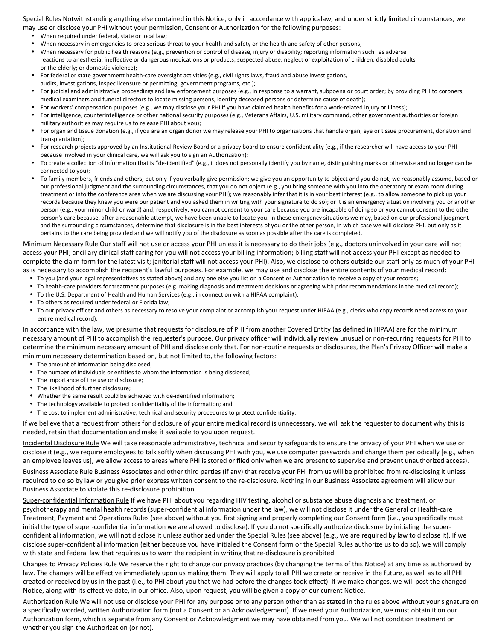Special Rules Notwithstanding anything else contained in this Notice, only in accordance with applicalaw, and under strictly limited circumstances, we may use or disclose your PHI without your permission, Consent or Authorization for the following purposes:

- When required under federal, state or local law;
- When necessary in emergencies to prea serious threat to your health and safety or the health and safety of other persons;
- When necessary for public health reasons (e.g., prevention or control of disease, injury or disability; reporting information such as adverse reactions to anesthesia; ineffective or dangerous medications or products; suspected abuse, neglect or exploitation of children, disabled adults or the elderly; or domestic violence);
- For federal or state government health-care oversight activities (e.g., civil rights laws, fraud and abuse investigations,
- audits, investigations, inspec licensure or permitting, government programs, etc.);
- For judicial and administrative proceedings and law enforcement purposes (e.g., in response to a warrant, subpoena or court order; by providing PHI to coroners, medical examiners and funeral directors to locate missing persons, identify deceased persons or determine cause of death);
- For workers' compensation purposes (e.g., we may disclose your PHI if you have claimed health benefits for a work-related injury or illness);
- For intelligence, counterintelligence or other national security purposes (e.g., Veterans Affairs, U.S. military command, other government authorities or foreign military authorities may require us to release PHI about you);
- For organ and tissue donation (e.g., if you are an organ donor we may release your PHI to organizations that handle organ, eye or tissue procurement, donation and transplantation);
- For research projects approved by an Institutional Review Board or a privacy board to ensure confidentiality (e.g., if the researcher will have access to your PHI because involved in your clinical care, we will ask you to sign an Authorization);
- To create a collection of information that is "de-identified" (e.g., it does not personally identify you by name, distinguishing marks or otherwise and no longer can be connected to you);
- To family members, friends and others, but only if you verbally give permission; we give you an opportunity to object and you do not; we reasonably assume, based on our professional judgment and the surrounding circumstances, that you do not object (e.g., you bring someone with you into the operatory or exam room during treatment or into the conference area when we are discussing your PHI); we reasonably infer that it is in your best interest (e.g., to allow someone to pick up your records because they knew you were our patient and you asked them in writing with your signature to do so); or it is an emergency situation involving you or another person (e.g., your minor child or ward) and, respectively, you cannot consent to your care because you are incapable of doing so or you cannot consent to the other person's care because, after a reasonable attempt, we have been unable to locate you. In these emergency situations we may, based on our professional judgment and the surrounding circumstances, determine that disclosure is in the best interests of you or the other person, in which case we will disclose PHI, but only as it pertains to the care being provided and we will notify you of the disclosure as soon as possible after the care is completed.

Minimum Necessary Rule Our staff will not use or access your PHI unless it is necessary to do their jobs (e.g., doctors uninvolved in your care will not access your PHI; ancillary clinical staff caring for you will not access your billing information; billing staff will not access your PHI except as needed to complete the claim form for the latest visit; janitorial staff will not access your PHI). Also, we disclose to others outside our staff only as much of your PHI as is necessary to accomplish the recipient's lawful purposes. For example, we may use and disclose the entire contents of your medical record:

- To you (and your legal representatives as stated above) and any one else you list on a Consent or Authorization to receive a copy of your records;
- To health-care providers for treatment purposes (e.g. making diagnosis and treatment decisions or agreeing with prior recommendations in the medical record);
- To the U.S. Department of Health and Human Services (e.g., in connection with a HIPAA complaint);
- To others as required under federal or Florida law;
- To our privacy officer and others as necessary to resolve your complaint or accomplish your request under HIPAA (e.g., clerks who copy records need access to your entire medical record).

In accordance with the law, we presume that requests for disclosure of PHI from another Covered Entity (as defined in HIPAA) are for the minimum necessary amount of PHI to accomplish the requester's purpose. Our privacy officer will individually review unusual or non-recurring requests for PHI to determine the minimum necessary amount of PHI and disclose only that. For non-routine requests or disclosures, the Plan's Privacy Officer will make a minimum necessary determination based on, but not limited to, the following factors:

- The amount of information being disclosed;
- The number of individuals or entities to whom the information is being disclosed;
- The importance of the use or disclosure;
- The likelihood of further disclosure;
- Whether the same result could be achieved with de-identified information;
- The technology available to protect confidentiality of the information; and
- The cost to implement administrative, technical and security procedures to protect confidentiality.

If we believe that a request from others for disclosure of your entire medical record is unnecessary, we will ask the requester to document why this is needed, retain that documentation and make it available to you upon request.

Incidental Disclosure Rule We will take reasonable administrative, technical and security safeguards to ensure the privacy of your PHI when we use or disclose it (e.g., we require employees to talk softly when discussing PHI with you, we use computer passwords and change them periodically [e.g., when an employee leaves us], we allow access to areas where PHI is stored or filed only when we are present to supervise and prevent unauthorized access).

Business Associate Rule Business Associates and other third parties (if any) that receive your PHI from us will be prohibited from re-disclosing it unless required to do so by law or you give prior express written consent to the re-disclosure. Nothing in our Business Associate agreement will allow our Business Associate to violate this re-disclosure prohibition.

Super-confidential Information Rule If we have PHI about you regarding HIV testing, alcohol or substance abuse diagnosis and treatment, or psychotherapy and mental health records (super-confidential information under the law), we will not disclose it under the General or Health-care Treatment, Payment and Operations Rules (see above) without you first signing and properly completing our Consent form (i.e., you specifically must initial the type of super-confidential information we are allowed to disclose). If you do not specifically authorize disclosure by initialing the superconfidential information, we will not disclose it unless authorized under the Special Rules (see above) (e.g., we are required by law to disclose it). If we disclose super-confidential information (either because you have initialed the Consent form or the Special Rules authorize us to do so), we will comply with state and federal law that requires us to warn the recipient in writing that re-disclosure is prohibited.

Changes to Privacy Policies Rule We reserve the right to change our privacy practices (by changing the terms of this Notice) at any time as authorized by law. The changes will be effective immediately upon us making them. They will apply to all PHI we create or receive in the future, as well as to all PHI created or received by us in the past (i.e., to PHI about you that we had before the changes took effect). If we make changes, we will post the changed Notice, along with its effective date, in our office. Also, upon request, you will be given a copy of our current Notice.

Authorization Rule We will not use or disclose your PHI for any purpose or to any person other than as stated in the rules above without your signature on a specifically worded, written Authorization form (not a Consent or an Acknowledgement). If we need your Authorization, we must obtain it on our Authorization form, which is separate from any Consent or Acknowledgment we may have obtained from you. We will not condition treatment on whether you sign the Authorization (or not).